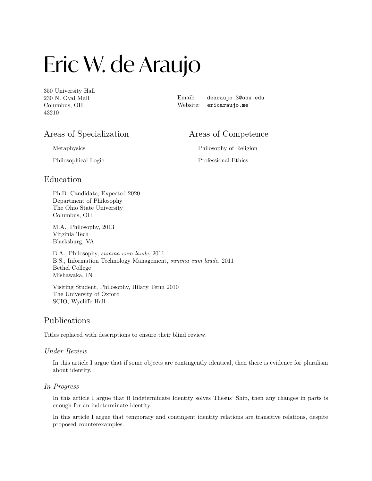# Eric W. de Araujo

350 University Hall 230 N. Oval Mall Columbus, OH 43210

Email: [dearaujo.3@osu.edu](mailto:dearaujo.3@osu.edu) Website: [ericaraujo.me](https://ericaraujo.me)

# Areas of Specialization

Areas of Competence

Metaphysics

Philosophical Logic

Philosophy of Religion Professional Ethics

# Education

Ph.D. Candidate, Expected 2020 Department of Philosophy The Ohio State University Columbus, OH

M.A., Philosophy, 2013 Virginia Tech Blacksburg, VA

B.A., Philosophy, *summa cum laude*, 2011 B.S., Information Technology Management, *summa cum laude*, 2011 Bethel College Mishawaka, IN

Visiting Student, Philosophy, Hilary Term 2010 The University of Oxford SCIO, Wycliffe Hall

# Publications

Titles replaced with descriptions to ensure their blind review.

#### *Under Review*

In this article I argue that if some objects are contingently identical, then there is evidence for pluralism about identity.

### *In Progress*

In this article I argue that if Indeterminate Identity solves Thesus' Ship, then any changes in parts is enough for an indeterminate identity.

In this article I argue that temporary and contingent identity relations are transitive relations, despite proposed counterexamples.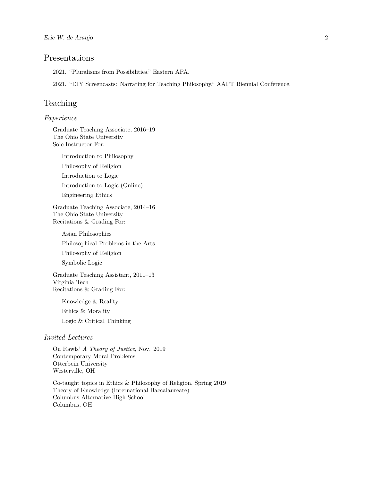# Presentations

2021. "Pluralisms from Possibilities." Eastern APA.

2021. "DIY Screencasts: Narrating for Teaching Philosophy." AAPT Biennial Conference.

# Teaching

#### *Experience*

Graduate Teaching Associate, 2016–19 The Ohio State University Sole Instructor For:

Introduction to Philosophy

Philosophy of Religion

Introduction to Logic

Introduction to Logic (Online)

Engineering Ethics

Graduate Teaching Associate, 2014–16 The Ohio State University Recitations & Grading For:

Asian Philosophies Philosophical Problems in the Arts Philosophy of Religion Symbolic Logic

Graduate Teaching Assistant, 2011–13 Virginia Tech Recitations & Grading For:

Knowledge & Reality Ethics & Morality Logic & Critical Thinking

#### *Invited Lectures*

On Rawls' *A Theory of Justice*, Nov. 2019 Contemporary Moral Problems Otterbein University Westerville, OH

Co-taught topics in Ethics & Philosophy of Religion, Spring 2019 Theory of Knowledge (International Baccalaureate) Columbus Alternative High School Columbus, OH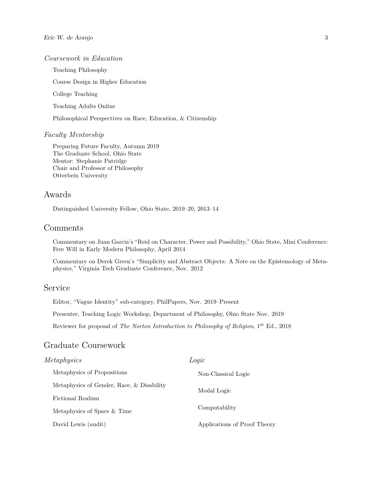#### *Coursework in Education*

Teaching Philosophy

Course Design in Higher Education

College Teaching

Teaching Adults Online

Philosophical Perspectives on Race, Education, & Citizenship

#### *Faculty Mentorship*

Preparing Future Faculty, Autumn 2019 The Graduate School, Ohio State Mentor: Stephanie Patridge Chair and Professor of Philosophy Otterbein University

# Awards

Distinguished University Fellow, Ohio State, 2019–20, 2013–14

#### Comments

Commentary on Juan Garcia's "Reid on Character, Power and Possibility," Ohio State, Mini Conference: Free Will in Early Modern Philosophy, April 2014

Commentary on Derek Green's "Simplicity and Abstract Objects: A Note on the Epistemology of Metaphysics," Virginia Tech Graduate Conference, Nov. 2012

# Service

Editor, "Vague Identity" sub-category, PhilPapers, Nov. 2019–Present

Presenter, Teaching Logic Workshop, Department of Philosophy, Ohio State Nov. 2019

Reviewer for proposal of *The Norton Introduction to Philosophy of Religion*, 1st Ed., 2018

# Graduate Coursework

| Metaphysics                               | Logic                        |
|-------------------------------------------|------------------------------|
| Metaphysics of Propositions               | Non-Classical Logic          |
| Metaphysics of Gender, Race, & Disability | Modal Logic                  |
| Fictional Realism                         |                              |
| Metaphysics of Space & Time               | Computability                |
| David Lewis (audit)                       | Applications of Proof Theory |